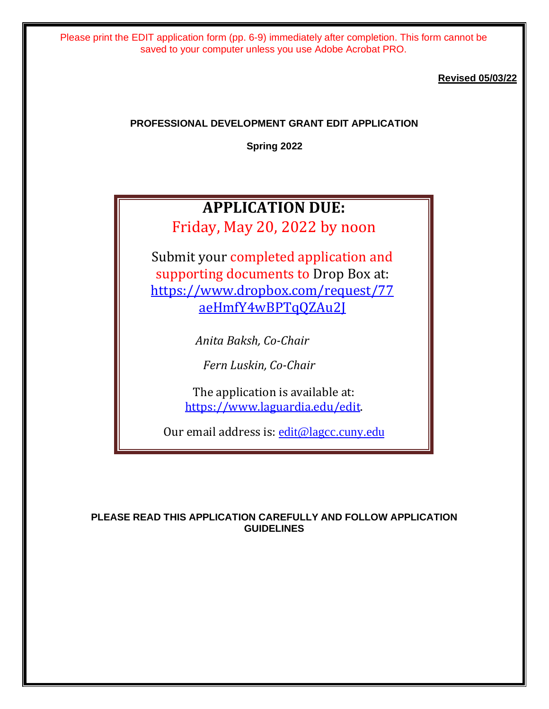**Revised 05/03/22**

# **PROFESSIONAL DEVELOPMENT GRANT EDIT APPLICATION**

**Spring 2022**

# **APPLICATION DUE:**

Friday, May 20, 2022 by noon

Submit your completed application and supporting documents to Drop Box at: [https://www.dropbox.com/request/77](https://www.dropbox.com/request/77aeHmfY4wBPTqQZAu2J) [aeHmfY4wBPTqQZAu2J](https://www.dropbox.com/request/77aeHmfY4wBPTqQZAu2J)

*Anita Baksh, Co-Chair*

*Fern Luskin, Co-Chair*

The application is available at: [https://www.laguardia.edu/edit.](https://www.laguardia.edu/edit/)

Our email address is: [edit@lagcc.cuny.edu](mailto:edit@lagcc.cuny.edu)

## **PLEASE READ THIS APPLICATION CAREFULLY AND FOLLOW APPLICATION GUIDELINES**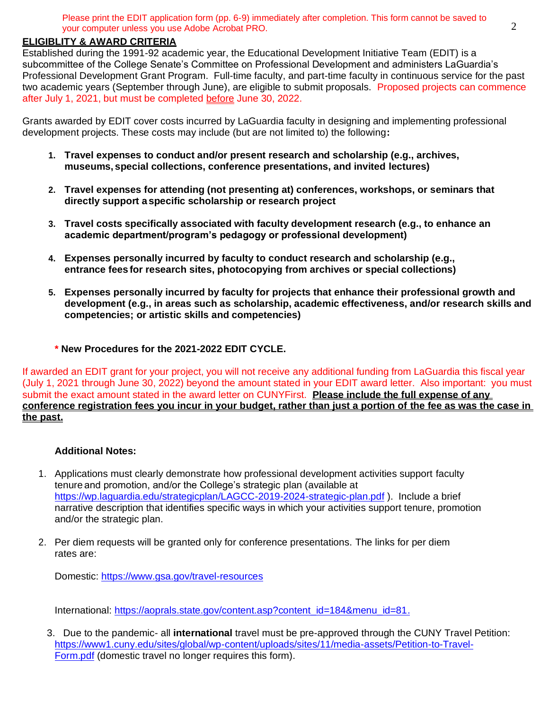# **ELIGIBLITY & AWARD CRITERIA**

Established during the 1991-92 academic year, the Educational Development Initiative Team (EDIT) is a subcommittee of the College Senate's Committee on Professional Development and administers LaGuardia's Professional Development Grant Program. Full-time faculty, and part-time faculty in continuous service for the past two academic years (September through June), are eligible to submit proposals. Proposed projects can commence after July 1, 2021, but must be completed before June 30, 2022.

Grants awarded by EDIT cover costs incurred by LaGuardia faculty in designing and implementing professional development projects. These costs may include (but are not limited to) the following**:**

- **1. Travel expenses to conduct and/or present research and scholarship (e.g., archives, museums, special collections, conference presentations, and invited lectures)**
- **2. Travel expenses for attending (not presenting at) conferences, workshops, or seminars that directly support aspecific scholarship or research project**
- **3. Travel costs specifically associated with faculty development research (e.g., to enhance an academic department/program's pedagogy or professional development)**
- **4. Expenses personally incurred by faculty to conduct research and scholarship (e.g., entrance fees for research sites, photocopying from archives or special collections)**
- **5. Expenses personally incurred by faculty for projects that enhance their professional growth and development (e.g., in areas such as scholarship, academic effectiveness, and/or research skills and competencies; or artistic skills and competencies)**
	- **\* New Procedures for the 2021-2022 EDIT CYCLE.**

If awarded an EDIT grant for your project, you will not receive any additional funding from LaGuardia this fiscal year (July 1, 2021 through June 30, 2022) beyond the amount stated in your EDIT award letter. Also important: you must submit the exact amount stated in the award letter on CUNYFirst. **Please include the full expense of any conference registration fees you incur in your budget, rather than just a portion of the fee as was the case in the past.**

### **Additional Notes:**

- 1. Applications must clearly demonstrate how professional development activities support faculty tenure and promotion, and/or the College's strategic plan (available at <https://wp.laguardia.edu/strategicplan/LAGCC-2019-2024-strategic-plan.pdf> ). Include a brief narrative description that identifies specific ways in which your activities support tenure, promotion and/or the strategic plan.
- 2. Per diem requests will be granted only for conference presentations. The links for per diem rates are:

Domestic:<https://www.gsa.gov/travel-resources>

International: [https://aoprals.state.gov/content.asp?content\\_id=184&menu\\_id=81.](https://aoprals.state.gov/content.asp?content_id=184&menu_id=81)

3. Due to the pandemic- all **international** travel must be pre-approved through the CUNY Travel Petition: [https://www1.cuny.edu/sites/global/wp-content/uploads/sites/11/media-assets/Petition-to-Travel-](https://www1.cuny.edu/sites/global/wp-content/uploads/sites/11/media-assets/Petition-to-Travel-Form.pdf)[Form.pdf](https://www1.cuny.edu/sites/global/wp-content/uploads/sites/11/media-assets/Petition-to-Travel-Form.pdf) (domestic travel no longer requires this form).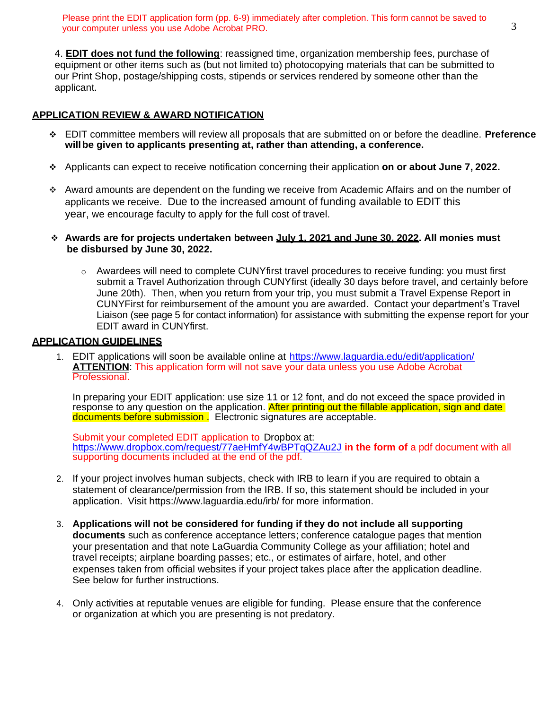4. **EDIT does not fund the following**: reassigned time, organization membership fees, purchase of equipment or other items such as (but not limited to) photocopying materials that can be submitted to our Print Shop, postage/shipping costs, stipends or services rendered by someone other than the applicant.

# **APPLICATION REVIEW & AWARD NOTIFICATION**

- ❖ EDIT committee members will review all proposals that are submitted on or before the deadline. **Preference willbe given to applicants presenting at, rather than attending, a conference.**
- ❖ Applicants can expect to receive notification concerning their application **on or about June 7, 2022.**
- ❖ Award amounts are dependent on the funding we receive from Academic Affairs and on the number of applicants we receive. Due to the increased amount of funding available to EDIT this year, we encourage faculty to apply for the full cost of travel.
- ❖ **Awards are for projects undertaken between July 1, 2021 and June 30, 2022. All monies must be disbursed by June 30, 2022.**
	- o Awardees will need to complete CUNYfirst travel procedures to receive funding: you must first submit a Travel Authorization through CUNYfirst (ideally 30 days before travel, and certainly before June 20th). Then, when you return from your trip, you must submit a Travel Expense Report in CUNYFirst for reimbursement of the amount you are awarded. Contact your department's Travel Liaison (see page 5 for contact information) for assistance with submitting the expense report for your EDIT award in CUNYfirst.

#### **APPLICATION GUIDELINES**

1. EDIT applications will soon be available online at <https://www.laguardia.edu/edit/application/> **ATTENTION:** This application form will not save your data unless you use Adobe Acrobat Professional.

In preparing your EDIT application: use size 11 or 12 font, and do not exceed the space provided in response to any question on the application. After printing out the fillable application, sign and date documents before submission . Electronic signatures are acceptable.

Submit your completed EDIT application to Dropbox at: <https://www.dropbox.com/request/77aeHmfY4wBPTqQZAu2J> **in the form of** a pdf document with all supporting documents included at the end of the pdf.

- 2. If your project involves human subjects, check with IRB to learn if you are required to obtain a statement of clearance/permission from the IRB. If so, this statement should be included in your application. Visit https://www.laguardia.edu/irb/ for more information.
- 3. **Applications will not be considered for funding if they do not include all supporting documents** such as conference acceptance letters; conference catalogue pages that mention your presentation and that note LaGuardia Community College as your affiliation; hotel and travel receipts; airplane boarding passes; etc., or estimates of airfare, hotel, and other expenses taken from official websites if your project takes place after the application deadline. See below for further instructions.
- 4. Only activities at reputable venues are eligible for funding. Please ensure that the conference or organization at which you are presenting is not predatory.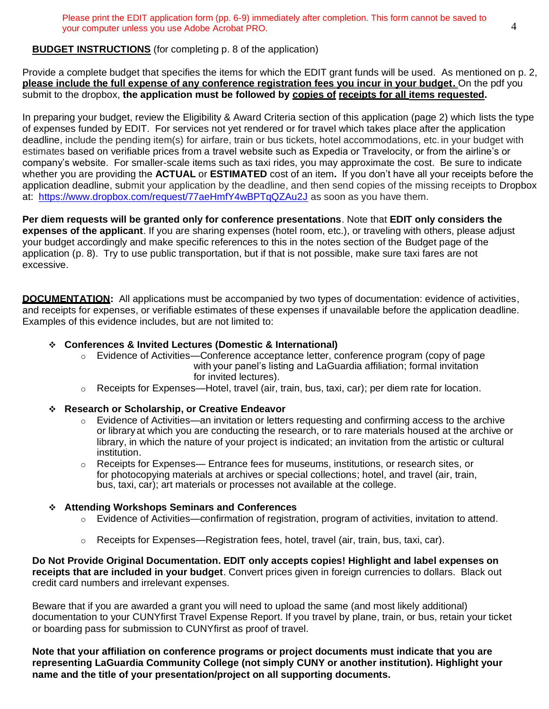# **BUDGET INSTRUCTIONS** (for completing p. 8 of the application)

Provide a complete budget that specifies the items for which the EDIT grant funds will be used. As mentioned on p. 2, **please include the full expense of any conference registration fees you incur in your budget.** On the pdf you submit to the dropbox, **the application must be followed by copies of receipts for all items requested.**

In preparing your budget, review the Eligibility & Award Criteria section of this application (page 2) which lists the type of expenses funded by EDIT. For services not yet rendered or for travel which takes place after the application deadline, include the pending item(s) for airfare, train or bus tickets, hotel accommodations, etc. in your budget with estimates based on verifiable prices from a travel website such as Expedia or Travelocity, or from the airline's or company's website. For smaller-scale items such as taxi rides, you may approximate the cost. Be sure to indicate whether you are providing the **ACTUAL** or **ESTIMATED** cost of an item**.** If you don't have all your receipts before the application deadline, submit your application by the deadline, and then send copies of the missing receipts to Dropbox at: <https://www.dropbox.com/request/77aeHmfY4wBPTqQZAu2J> as soon as you have them.

**Per diem requests will be granted only for conference presentations**. Note that **EDIT only considers the expenses of the applicant**. If you are sharing expenses (hotel room, etc.), or traveling with others, please adjust your budget accordingly and make specific references to this in the notes section of the Budget page of the application (p. 8). Try to use public transportation, but if that is not possible, make sure taxi fares are not excessive.

**DOCUMENTATION:** All applications must be accompanied by two types of documentation: evidence of activities, and receipts for expenses, or verifiable estimates of these expenses if unavailable before the application deadline. Examples of this evidence includes, but are not limited to:

### ❖ **Conferences & Invited Lectures (Domestic & International)**

- $\circ$  Evidence of Activities—Conference acceptance letter, conference program (copy of page with your panel's listing and LaGuardia affiliation; formal invitation for invited lectures).
- $\circ$  Receipts for Expenses—Hotel, travel (air, train, bus, taxi, car); per diem rate for location.

### ❖ **Research or Scholarship, or Creative Endeavor**

- $\circ$  Evidence of Activities—an invitation or letters requesting and confirming access to the archive or library at which you are conducting the research, or to rare materials housed at the archive or library, in which the nature of your project is indicated; an invitation from the artistic or cultural institution.
- $\circ$  Receipts for Expenses— Entrance fees for museums, institutions, or research sites, or for photocopying materials at archives or special collections; hotel, and travel (air, train, bus, taxi, car); art materials or processes not available at the college.

### ❖ **Attending Workshops Seminars and Conferences**

- $\circ$  Evidence of Activities—confirmation of registration, program of activities, invitation to attend.
- $\circ$  Receipts for Expenses—Registration fees, hotel, travel (air, train, bus, taxi, car).

**Do Not Provide Original Documentation. EDIT only accepts copies! Highlight and label expenses on receipts that are included in your budget**. Convert prices given in foreign currencies to dollars. Black out credit card numbers and irrelevant expenses.

Beware that if you are awarded a grant you will need to upload the same (and most likely additional) documentation to your CUNYfirst Travel Expense Report. If you travel by plane, train, or bus, retain your ticket or boarding pass for submission to CUNYfirst as proof of travel.

**Note that your affiliation on conference programs or project documents must indicate that you are representing LaGuardia Community College (not simply CUNY or another institution). Highlight your name and the title of your presentation/project on all supporting documents.**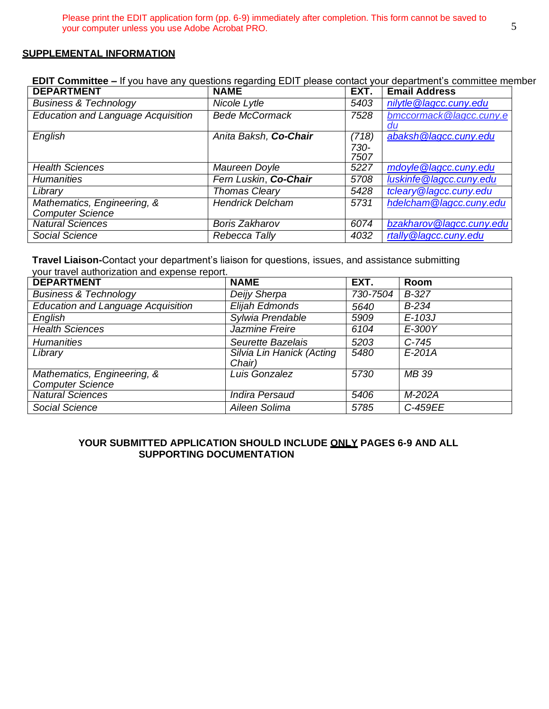#### **SUPPLEMENTAL INFORMATION**

**EDIT Committee –** If you have any questions regarding EDIT please contact your department's committee member

| <b>DEPARTMENT</b>                         | <b>NAME</b>             | EXT.  | <b>Email Address</b>     |
|-------------------------------------------|-------------------------|-------|--------------------------|
| <b>Business &amp; Technology</b>          | Nicole Lytle            | 5403  | nilytle @lagcc.cuny.edu  |
| <b>Education and Language Acquisition</b> | <b>Bede McCormack</b>   | 7528  | bmccormack@lagcc.cuny.e  |
|                                           |                         |       | du                       |
| English                                   | Anita Baksh, Co-Chair   | (718) | abaksh @lagcc.cuny.edu   |
|                                           |                         | 730-  |                          |
|                                           |                         | 7507  |                          |
| <b>Health Sciences</b>                    | Maureen Doyle           | 5227  | mdoyle @lagcc.cuny.edu   |
| <b>Humanities</b>                         | Fern Luskin, Co-Chair   | 5708  | luskinfe@lagcc.cuny.edu  |
| Library                                   | <b>Thomas Cleary</b>    | 5428  | tcleary @lagcc.cuny.edu  |
| Mathematics, Engineering, &               | <b>Hendrick Delcham</b> | 5731  | hdelcham@lagcc.cuny.edu  |
| <b>Computer Science</b>                   |                         |       |                          |
| <b>Natural Sciences</b>                   | <b>Boris Zakharov</b>   | 6074  | bzakharov@lagcc.cuny.edu |
| Social Science                            | Rebecca Tally           | 4032  | rtally @lagcc.cuny.edu   |

**Travel Liaison-**Contact your department's liaison for questions, issues, and assistance submitting your travel authorization and expense report.

| <b>DEPARTMENT</b>                         | <b>NAME</b>                         | EXT.     | Room     |
|-------------------------------------------|-------------------------------------|----------|----------|
| <b>Business &amp; Technology</b>          | Deijy Sherpa                        | 730-7504 | $B-327$  |
| <b>Education and Language Acquisition</b> | Elijah Edmonds                      | 5640     | $B-234$  |
| English                                   | Sylwia Prendable                    | 5909     | $E-103J$ |
| <b>Health Sciences</b>                    | Jazmine Freire                      | 6104     | $E-300Y$ |
| <b>Humanities</b>                         | Seurette Bazelais                   | 5203     | $C-745$  |
| Library                                   | Silvia Lin Hanick (Acting<br>Chair) | 5480     | $E-201A$ |
| Mathematics, Engineering, &               | Luis Gonzalez                       | 5730     | MB 39    |
| <b>Computer Science</b>                   |                                     |          |          |
| <b>Natural Sciences</b>                   | <b>Indira Persaud</b>               | 5406     | M-202A   |
| Social Science                            | Aileen Solima                       | 5785     | C-459EE  |

#### **YOUR SUBMITTED APPLICATION SHOULD INCLUDE ONLY PAGES 6-9 AND ALL SUPPORTING DOCUMENTATION**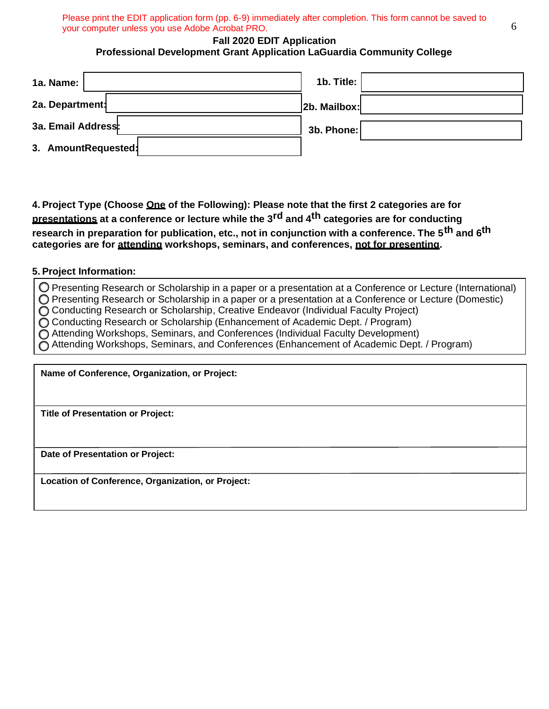#### **Fall 2020 EDIT Application Professional Development Grant Application LaGuardia Community College**

| 1a. Name: $ $       | 1b. Title:   |
|---------------------|--------------|
| 2a. Department:     | 2b. Mailbox: |
| 3a. Email Address:  | 3b. Phone:   |
| 3. AmountRequested: |              |

**4. Project Type (Choose One of the Following): Please note that the first 2 categories are for presentations at a conference or lecture while the 3rd and 4th categories are for conducting research in preparation for publication, etc., not in conjunction with a conference. The 5th and 6th categories are for attending workshops, seminars, and conferences, not for presenting.**

#### **5. Project Information:**

Presenting Research or Scholarship in a paper or a presentation at a Conference or Lecture (International)

Presenting Research or Scholarship in a paper or a presentation at a Conference or Lecture (Domestic) ◯ Conducting Research or Scholarship, Creative Endeavor (Individual Faculty Project)

◯ Conducting Research or Scholarship (Enhancement of Academic Dept. / Program)

 $\tilde{O}$  Attending Workshops, Seminars, and Conferences (Individual Faculty Development)

Attending Workshops, Seminars, and Conferences (Enhancement of Academic Dept. / Program)

**Name of Conference, Organization, or Project:**

**Title of Presentation or Project:**

**Date of Presentation or Project:**

**Location of Conference, Organization, or Project:**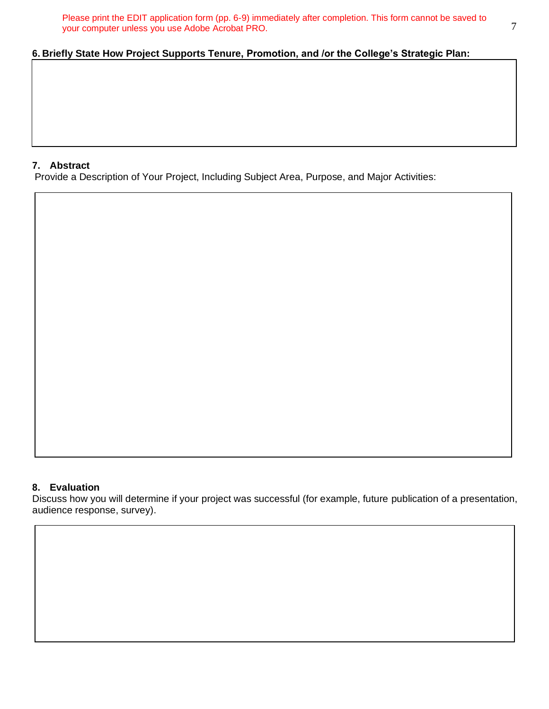# **6. Briefly State How Project Supports Tenure, Promotion, and /or the College's Strategic Plan:**

#### **7. Abstract**

Provide a Description of Your Project, Including Subject Area, Purpose, and Major Activities:

#### **8. Evaluation**

Discuss how you will determine if your project was successful (for example, future publication of a presentation, audience response, survey).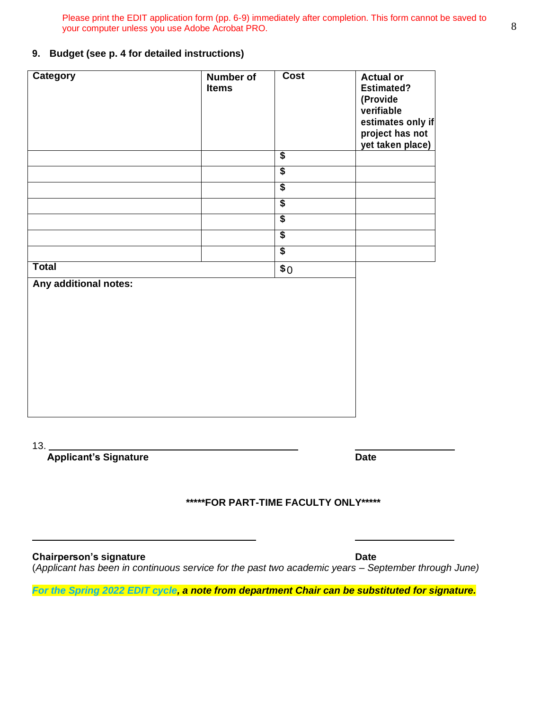#### **9. Budget (see p. 4 for detailed instructions)**

| <b>Category</b>       | <b>Number of</b><br><b>Items</b> | <b>Cost</b>     | <b>Actual or</b><br><b>Estimated?</b><br>(Provide<br>verifiable<br>estimates only if<br>project has not<br>yet taken place) |
|-----------------------|----------------------------------|-----------------|-----------------------------------------------------------------------------------------------------------------------------|
|                       |                                  | $\overline{\$}$ |                                                                                                                             |
|                       |                                  | $\overline{\$}$ |                                                                                                                             |
|                       |                                  | \$              |                                                                                                                             |
|                       |                                  | $\overline{\$}$ |                                                                                                                             |
|                       |                                  | \$              |                                                                                                                             |
|                       |                                  | $\overline{\$}$ |                                                                                                                             |
|                       |                                  | $\overline{\$}$ |                                                                                                                             |
| <b>Total</b>          |                                  | \$0             |                                                                                                                             |
| Any additional notes: |                                  |                 |                                                                                                                             |

13.

**Applicant's Signature Date** 

# **\*\*\*\*\*FOR PART-TIME FACULTY ONLY\*\*\*\*\***

**Chairperson's signature Date** (*Applicant has been in continuous service for the past two academic years – September through June)*

*For the Spring 2022 EDIT cycle, a note from department Chair can be substituted for signature.*